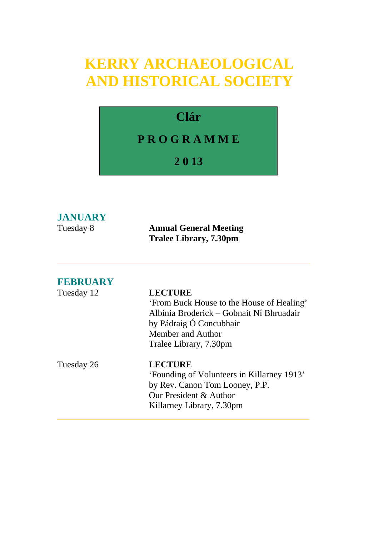# **KERRY ARCHAEOLOGICAL AND HISTORICAL SOCIETY**

### **Clár**

### **P R O G R A M M E**

### **2 0 13**

### **JANUARY**

Tuesday 8 **Annual General Meeting Tralee Library, 7.30pm** 

### **FEBRUARY**

### Tuesday 12 **LECTURE**

'From Buck House to the House of Healing' Albinia Broderick – Gobnait Ní Bhruadair by Pádraig Ó Concubhair Member and Author Tralee Library, 7.30pm

### Tuesday 26 **LECTURE**

'Founding of Volunteers in Killarney 1913' by Rev. Canon Tom Looney, P.P. Our President & Author Killarney Library, 7.30pm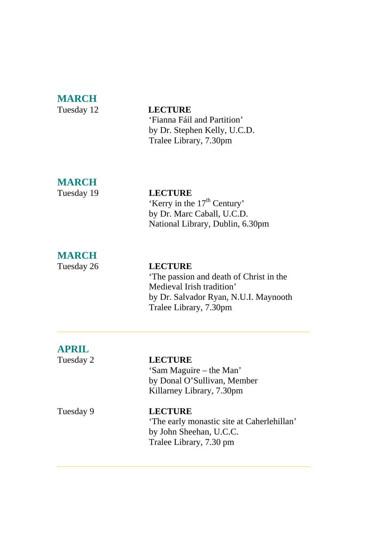# **MARCH**

Tuesday 12 **LECTURE**  'Fianna Fáil and Partition' by Dr. Stephen Kelly, U.C.D. Tralee Library, 7.30pm

# **MARCH**

Tuesday 19 **LECTURE**  'Kerry in the 17<sup>th</sup> Century' by Dr. Marc Caball, U.C.D. National Library, Dublin, 6.30pm

# **MARCH**

Tuesday 26 **LECTURE** 

'The passion and death of Christ in the Medieval Irish tradition' by Dr. Salvador Ryan, N.U.I. Maynooth Tralee Library, 7.30pm

### **APRIL**  Tuesday 2 **LECTURE**  'Sam Maguire – the Man' by Donal O'Sullivan, Member Killarney Library, 7.30pm Tuesday 9 **LECTURE**  'The early monastic site at Caherlehillan' by John Sheehan, U.C.C. Tralee Library, 7.30 pm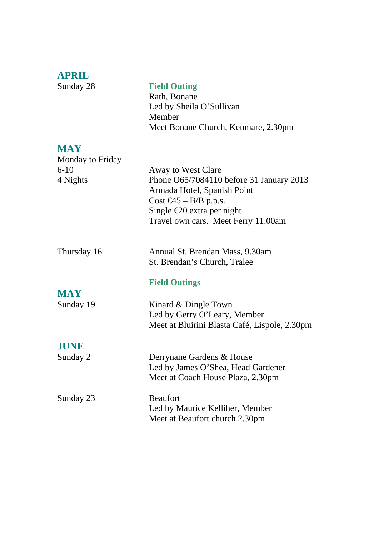| <b>APRIL</b><br>Sunday 28      | <b>Field Outing</b><br>Rath, Bonane<br>Led by Sheila O'Sullivan<br>Member<br>Meet Bonane Church, Kenmare, 2.30pm                                                                                                |
|--------------------------------|-----------------------------------------------------------------------------------------------------------------------------------------------------------------------------------------------------------------|
| <b>MAY</b><br>Monday to Friday |                                                                                                                                                                                                                 |
| $6 - 10$<br>4 Nights           | Away to West Clare<br>Phone O65/7084110 before 31 January 2013<br>Armada Hotel, Spanish Point<br>Cost $\bigoplus$ 5 – B/B p.p.s.<br>Single $\epsilon$ 20 extra per night<br>Travel own cars. Meet Ferry 11.00am |
| Thursday 16                    | Annual St. Brendan Mass, 9.30am<br>St. Brendan's Church, Tralee                                                                                                                                                 |
| <b>MAY</b>                     | <b>Field Outings</b>                                                                                                                                                                                            |
| Sunday 19                      | Kinard & Dingle Town<br>Led by Gerry O'Leary, Member<br>Meet at Bluirini Blasta Café, Lispole, 2.30pm                                                                                                           |
| <b>JUNE</b>                    |                                                                                                                                                                                                                 |
| Sunday 2                       | Derrynane Gardens & House<br>Led by James O'Shea, Head Gardener<br>Meet at Coach House Plaza, 2.30pm                                                                                                            |
| Sunday 23                      | <b>Beaufort</b><br>Led by Maurice Kelliher, Member<br>Meet at Beaufort church 2.30pm                                                                                                                            |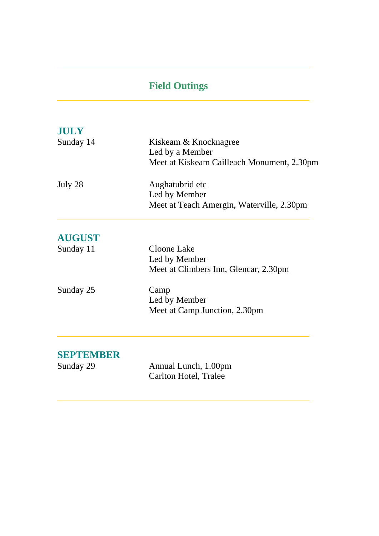# **Field Outings**

| <b>JULY</b>      | Kiskeam & Knocknagree<br>Led by a Member   |
|------------------|--------------------------------------------|
| Sunday 14        |                                            |
|                  | Meet at Kiskeam Cailleach Monument, 2.30pm |
| July 28          | Aughatubrid etc                            |
|                  | Led by Member                              |
|                  | Meet at Teach Amergin, Waterville, 2.30pm  |
| <b>AUGUST</b>    |                                            |
| Sunday 11        | <b>Cloone Lake</b>                         |
|                  | Led by Member                              |
|                  | Meet at Climbers Inn, Glencar, 2.30pm      |
| Sunday 25        | Camp                                       |
|                  | Led by Member                              |
|                  | Meet at Camp Junction, 2.30pm              |
| <b>SEPTEMBER</b> |                                            |
| Sunday 29        | Annual Lunch, 1.00pm                       |
|                  | Carlton Hotel, Tralee                      |